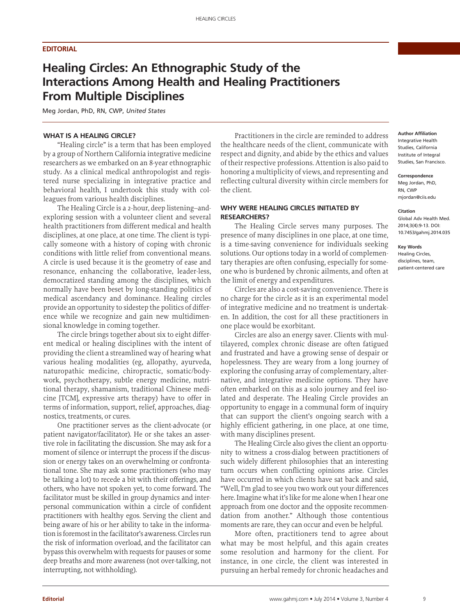# **Healing Circles: An Ethnographic Study of the Interactions Among Health and Healing Practitioners From Multiple Disciplines**

Meg Jordan, PhD, RN, CWP, *United States*

#### **What is a Healing Circle?**

"Healing circle" is a term that has been employed by a group of Northern California integrative medicine researchers as we embarked on an 8-year ethnographic study. As a clinical medical anthropologist and registered nurse specializing in integrative practice and behavioral health, I undertook this study with colleagues from various health disciplines.

The Healing Circle is a 2-hour, deep listening–andexploring session with a volunteer client and several health practitioners from different medical and health disciplines, at one place, at one time. The client is typically someone with a history of coping with chronic conditions with little relief from conventional means. A circle is used because it is the geometry of ease and resonance, enhancing the collaborative, leader-less, democratized standing among the disciplines, which normally have been beset by long-standing politics of medical ascendancy and dominance. Healing circles provide an opportunity to sidestep the politics of difference while we recognize and gain new multidimensional knowledge in coming together.

The circle brings together about six to eight different medical or healing disciplines with the intent of providing the client a streamlined way of hearing what various healing modalities (eg, allopathy, ayurveda, naturopathic medicine, chiropractic, somatic/bodywork, psychotherapy, subtle energy medicine, nutritional therapy, shamanism, traditional Chinese medicine [TCM], expressive arts therapy) have to offer in terms of information, support, relief, approaches, diagnostics, treatments, or cures.

One practitioner serves as the client-advocate (or patient navigator/facilitator). He or she takes an assertive role in facilitating the discussion. She may ask for a moment of silence or interrupt the process if the discussion or energy takes on an overwhelming or confrontational tone. She may ask some practitioners (who may be talking a lot) to recede a bit with their offerings, and others, who have not spoken yet, to come forward. The facilitator must be skilled in group dynamics and interpersonal communication within a circle of confident practitioners with healthy egos. Serving the client and being aware of his or her ability to take in the information is foremost in the facilitator's awareness. Circles run the risk of information overload, and the facilitator can bypass this overwhelm with requests for pauses or some deep breaths and more awareness (not over-talking, not interrupting, not withholding).

Practitioners in the circle are reminded to address the healthcare needs of the client, communicate with respect and dignity, and abide by the ethics and values of their respective professions. Attention is also paid to honoring a multiplicity of views, and representing and reflecting cultural diversity within circle members for the client.

# **Why were Healing Circles initiated by researchers?**

The Healing Circle serves many purposes. The presence of many disciplines in one place, at one time, is a time-saving convenience for individuals seeking solutions. Our options today in a world of complementary therapies are often confusing, especially for someone who is burdened by chronic ailments, and often at the limit of energy and expenditures.

Circles are also a cost-saving convenience. There is no charge for the circle as it is an experimental model of integrative medicine and no treatment is undertaken. In addition, the cost for all these practitioners in one place would be exorbitant.

Circles are also an energy saver. Clients with multilayered, complex chronic disease are often fatigued and frustrated and have a growing sense of despair or hopelessness. They are weary from a long journey of exploring the confusing array of complementary, alternative, and integrative medicine options. They have often embarked on this as a solo journey and feel isolated and desperate. The Healing Circle provides an opportunity to engage in a communal form of inquiry that can support the client's ongoing search with a highly efficient gathering, in one place, at one time, with many disciplines present.

The Healing Circle also gives the client an opportunity to witness a cross-dialog between practitioners of such widely different philosophies that an interesting turn occurs when conflicting opinions arise. Circles have occurred in which clients have sat back and said, "Well, I'm glad to see you two work out your differences here. Imagine what it's like for me alone when I hear one approach from one doctor and the opposite recommendation from another." Although those contentious moments are rare, they can occur and even be helpful.

More often, practitioners tend to agree about what may be most helpful, and this again creates some resolution and harmony for the client. For instance, in one circle, the client was interested in pursuing an herbal remedy for chronic headaches and

# **Author Affiliation**

Integrative Health Studies, California Institute of Integral Studies, San Francisco.

**Correspondence** Meg Jordan, PhD, RN, CWP mjordan@ciis.edu

#### **Citation**

Global Adv Health Med. 2014;3(4):9-13. DOI: 10.7453/gahmj.2014.035

**Key Words** Healing Circles, disciplines, team, patient-centered care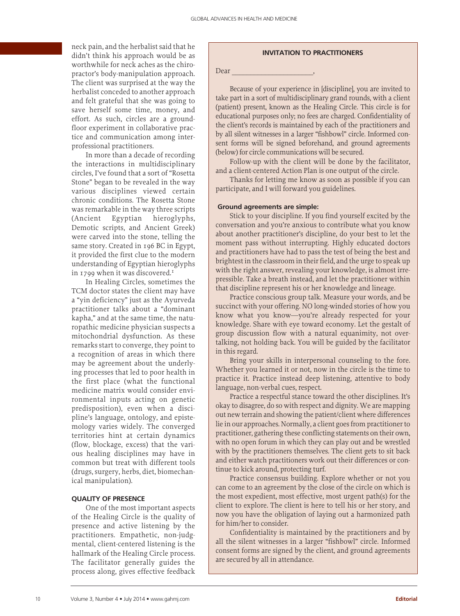neck pain, and the herbalist said that he didn't think his approach would be as worthwhile for neck aches as the chiropractor's body-manipulation approach. The client was surprised at the way the herbalist conceded to another approach and felt grateful that she was going to save herself some time, money, and effort. As such, circles are a groundfloor experiment in collaborative practice and communication among interprofessional practitioners.

In more than a decade of recording the interactions in multidisciplinary circles, I've found that a sort of "Rosetta Stone" began to be revealed in the way various disciplines viewed certain chronic conditions. The Rosetta Stone was remarkable in the way three scripts (Ancient Egyptian hieroglyphs, Demotic scripts, and Ancient Greek) were carved into the stone, telling the same story. Created in 196 BC in Egypt, it provided the first clue to the modern understanding of Egyptian hieroglyphs in 1799 when it was discovered.<sup>1</sup>

In Healing Circles, sometimes the TCM doctor states the client may have a "yin deficiency" just as the Ayurveda practitioner talks about a "dominant kapha," and at the same time, the naturopathic medicine physician suspects a mitochondrial dysfunction. As these remarks start to converge, they point to a recognition of areas in which there may be agreement about the underlying processes that led to poor health in the first place (what the functional medicine matrix would consider environmental inputs acting on genetic predisposition), even when a discipline's language, ontology, and epistemology varies widely. The converged territories hint at certain dynamics (flow, blockage, excess) that the various healing disciplines may have in common but treat with different tools (drugs, surgery, herbs, diet, biomechanical manipulation).

#### **Quality of Presence**

One of the most important aspects of the Healing Circle is the quality of presence and active listening by the practitioners. Empathetic, non-judgmental, client-centered listening is the hallmark of the Healing Circle process. The facilitator generally guides the process along, gives effective feedback

#### **Invitation to Practitioners**

Dear

Because of your experience in [discipline], you are invited to take part in a sort of multidisciplinary grand rounds, with a client (patient) present, known as the Healing Circle. This circle is for educational purposes only; no fees are charged. Confidentiality of the client's records is maintained by each of the practitioners and by all silent witnesses in a larger "fishbowl" circle. Informed consent forms will be signed beforehand, and ground agreements (below) for circle communications will be secured.

Follow-up with the client will be done by the facilitator, and a client-centered Action Plan is one output of the circle.

Thanks for letting me know as soon as possible if you can participate, and I will forward you guidelines.

# **Ground agreements are simple:**

Stick to your discipline. If you find yourself excited by the conversation and you're anxious to contribute what you know about another practitioner's discipline, do your best to let the moment pass without interrupting. Highly educated doctors and practitioners have had to pass the test of being the best and brightest in the classroom in their field, and the urge to speak up with the right answer, revealing your knowledge, is almost irrepressible. Take a breath instead, and let the practitioner within that discipline represent his or her knowledge and lineage.

Practice conscious group talk. Measure your words, and be succinct with your offering. NO long-winded stories of how you know what you know—you're already respected for your knowledge. Share with eye toward economy. Let the gestalt of group discussion flow with a natural equanimity, not overtalking, not holding back. You will be guided by the facilitator in this regard.

Bring your skills in interpersonal counseling to the fore. Whether you learned it or not, now in the circle is the time to practice it. Practice instead deep listening, attentive to body language, non-verbal cues, respect.

Practice a respectful stance toward the other disciplines. It's okay to disagree, do so with respect and dignity. We are mapping out new terrain and showing the patient/client where differences lie in our approaches. Normally, a client goes from practitioner to practitioner, gathering these conflicting statements on their own, with no open forum in which they can play out and be wrestled with by the practitioners themselves. The client gets to sit back and either watch practitioners work out their differences or continue to kick around, protecting turf.

Practice consensus building. Explore whether or not you can come to an agreement by the close of the circle on which is the most expedient, most effective, most urgent path(s) for the client to explore. The client is here to tell his or her story, and now you have the obligation of laying out a harmonized path for him/her to consider.

Confidentiality is maintained by the practitioners and by all the silent witnesses in a larger "fishbowl" circle. Informed consent forms are signed by the client, and ground agreements are secured by all in attendance.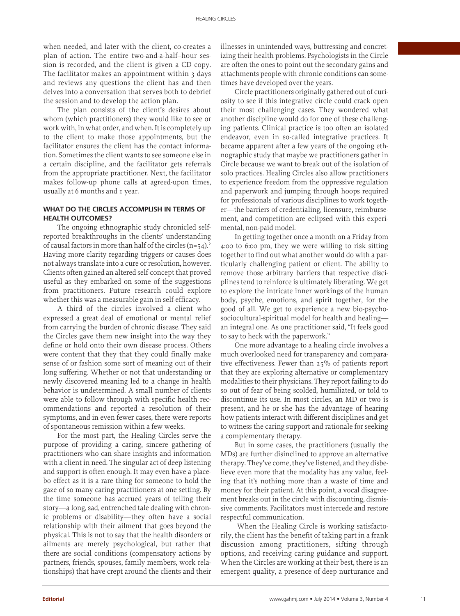when needed, and later with the client, co-creates a plan of action. The entire two-and-a-half–hour session is recorded, and the client is given a CD copy. The facilitator makes an appointment within 3 days and reviews any questions the client has and then delves into a conversation that serves both to debrief the session and to develop the action plan.

The plan consists of the client's desires about whom (which practitioners) they would like to see or work with, in what order, and when. It is completely up to the client to make those appointments, but the facilitator ensures the client has the contact information. Sometimes the client wants to see someone else in a certain discipline, and the facilitator gets referrals from the appropriate practitioner. Next, the facilitator makes follow-up phone calls at agreed-upon times, usually at 6 months and 1 year.

# **What do the Circles accomplish in terms of health outcomes?**

The ongoing ethnographic study chronicled selfreported breakthroughs in the clients' understanding of causal factors in more than half of the circles  $(n=54)$ .<sup>2</sup> Having more clarity regarding triggers or causes does not always translate into a cure or resolution, however. Clients often gained an altered self-concept that proved useful as they embarked on some of the suggestions from practitioners. Future research could explore whether this was a measurable gain in self-efficacy.

A third of the circles involved a client who expressed a great deal of emotional or mental relief from carrying the burden of chronic disease. They said the Circles gave them new insight into the way they define or hold onto their own disease process. Others were content that they that they could finally make sense of or fashion some sort of meaning out of their long suffering. Whether or not that understanding or newly discovered meaning led to a change in health behavior is undetermined. A small number of clients were able to follow through with specific health recommendations and reported a resolution of their symptoms, and in even fewer cases, there were reports of spontaneous remission within a few weeks.

For the most part, the Healing Circles serve the purpose of providing a caring, sincere gathering of practitioners who can share insights and information with a client in need. The singular act of deep listening and support is often enough. It may even have a placebo effect as it is a rare thing for someone to hold the gaze of so many caring practitioners at one setting. By the time someone has accrued years of telling their story—a long, sad, entrenched tale dealing with chronic problems or disability—they often have a social relationship with their ailment that goes beyond the physical. This is not to say that the health disorders or ailments are merely psychological, but rather that there are social conditions (compensatory actions by partners, friends, spouses, family members, work relationships) that have crept around the clients and their

illnesses in unintended ways, buttressing and concretizing their health problems. Psychologists in the Circle are often the ones to point out the secondary gains and attachments people with chronic conditions can sometimes have developed over the years.

Circle practitioners originally gathered out of curiosity to see if this integrative circle could crack open their most challenging cases. They wondered what another discipline would do for one of these challenging patients. Clinical practice is too often an isolated endeavor, even in so-called integrative practices. It became apparent after a few years of the ongoing ethnographic study that maybe we practitioners gather in Circle because we want to break out of the isolation of solo practices. Healing Circles also allow practitioners to experience freedom from the oppressive regulation and paperwork and jumping through hoops required for professionals of various disciplines to work together—the barriers of credentialing, licensure, reimbursement, and competition are eclipsed with this experimental, non-paid model.

In getting together once a month on a Friday from 4:00 to 6:00 pm, they we were willing to risk sitting together to find out what another would do with a particularly challenging patient or client. The ability to remove those arbitrary barriers that respective disciplines tend to reinforce is ultimately liberating. We get to explore the intricate inner workings of the human body, psyche, emotions, and spirit together, for the good of all. We get to experience a new bio-psychosociocultural-spiritual model for health and healing an integral one. As one practitioner said, "It feels good to say to heck with the paperwork."

One more advantage to a healing circle involves a much overlooked need for transparency and comparative effectiveness. Fewer than 25% of patients report that they are exploring alternative or complementary modalities to their physicians. They report failing to do so out of fear of being scolded, humiliated, or told to discontinue its use. In most circles, an MD or two is present, and he or she has the advantage of hearing how patients interact with different disciplines and get to witness the caring support and rationale for seeking a complementary therapy.

But in some cases, the practitioners (usually the MDs) are further disinclined to approve an alternative therapy. They've come, they've listened, and they disbelieve even more that the modality has any value, feeling that it's nothing more than a waste of time and money for their patient. At this point, a vocal disagreement breaks out in the circle with discounting, dismissive comments. Facilitators must intercede and restore respectful communication.

 When the Healing Circle is working satisfactorily, the client has the benefit of taking part in a frank discussion among practitioners, sifting through options, and receiving caring guidance and support. When the Circles are working at their best, there is an emergent quality, a presence of deep nurturance and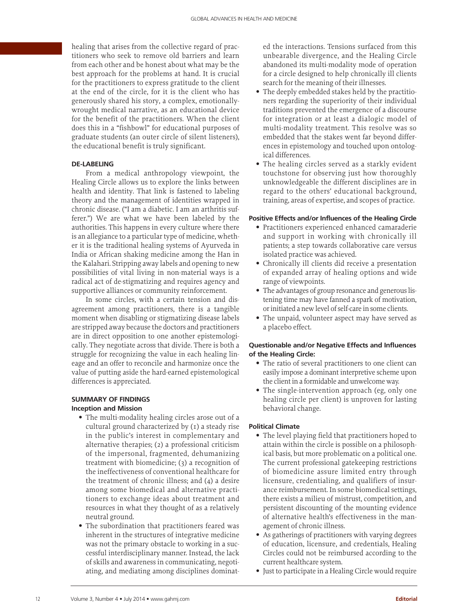healing that arises from the collective regard of practitioners who seek to remove old barriers and learn from each other and be honest about what may be the best approach for the problems at hand. It is crucial for the practitioners to express gratitude to the client at the end of the circle, for it is the client who has generously shared his story, a complex, emotionallywrought medical narrative, as an educational device for the benefit of the practitioners. When the client does this in a "fishbowl" for educational purposes of graduate students (an outer circle of silent listeners), the educational benefit is truly significant.

### **DE-LABELING**

From a medical anthropology viewpoint, the Healing Circle allows us to explore the links between health and identity. That link is fastened to labeling theory and the management of identities wrapped in chronic disease. ("I am a diabetic. I am an arthritis sufferer.") We are what we have been labeled by the authorities. This happens in every culture where there is an allegiance to a particular type of medicine, whether it is the traditional healing systems of Ayurveda in India or African shaking medicine among the Han in the Kalahari. Stripping away labels and opening to new possibilities of vital living in non-material ways is a radical act of de-stigmatizing and requires agency and supportive alliances or community reinforcement.

In some circles, with a certain tension and disagreement among practitioners, there is a tangible moment when disabling or stigmatizing disease labels are stripped away because the doctors and practitioners are in direct opposition to one another epistemologically. They negotiate across that divide. There is both a struggle for recognizing the value in each healing lineage and an offer to reconcile and harmonize once the value of putting aside the hard-earned epistemological differences is appreciated.

# **Summary of Findings Inception and Mission**

- The multi-modality healing circles arose out of a cultural ground characterized by (1) a steady rise in the public's interest in complementary and alternative therapies; (2) a professional criticism of the impersonal, fragmented, dehumanizing treatment with biomedicine; (3) a recognition of the ineffectiveness of conventional healthcare for the treatment of chronic illness; and (4) a desire among some biomedical and alternative practitioners to exchange ideas about treatment and resources in what they thought of as a relatively neutral ground.
- The subordination that practitioners feared was inherent in the structures of integrative medicine was not the primary obstacle to working in a successful interdisciplinary manner. Instead, the lack of skills and awareness in communicating, negotiating, and mediating among disciplines dominat-

ed the interactions. Tensions surfaced from this unbearable divergence, and the Healing Circle abandoned its multi-modality mode of operation for a circle designed to help chronically ill clients search for the meaning of their illnesses.

- The deeply embedded stakes held by the practitioners regarding the superiority of their individual traditions prevented the emergence of a discourse for integration or at least a dialogic model of multi-modality treatment. This resolve was so embedded that the stakes went far beyond differences in epistemology and touched upon ontological differences.
- The healing circles served as a starkly evident touchstone for observing just how thoroughly unknowledgeable the different disciplines are in regard to the others' educational background, training, areas of expertise, and scopes of practice.

#### **Positive Effects and/or Influences of the Healing Circle**

- Practitioners experienced enhanced camaraderie and support in working with chronically ill patients; a step towards collaborative care versus isolated practice was achieved.
- Chronically ill clients did receive a presentation of expanded array of healing options and wide range of viewpoints.
- The advantages of group resonance and generous listening time may have fanned a spark of motivation, or initiated a new level of self-care in some clients.
- The unpaid, volunteer aspect may have served as a placebo effect.

# **Questionable and/or Negative Effects and Influences of the Healing Circle:**

- The ratio of several practitioners to one client can easily impose a dominant interpretive scheme upon the client in a formidable and unwelcome way.
- The single-intervention approach (eg, only one healing circle per client) is unproven for lasting behavioral change.

#### **Political Climate**

- The level playing field that practitioners hoped to attain within the circle is possible on a philosophical basis, but more problematic on a political one. The current professional gatekeeping restrictions of biomedicine assure limited entry through licensure, credentialing, and qualifiers of insurance reimbursement. In some biomedical settings, there exists a milieu of mistrust, competition, and persistent discounting of the mounting evidence of alternative health's effectiveness in the management of chronic illness.
- As gatherings of practitioners with varying degrees of education, licensure, and credentials, Healing Circles could not be reimbursed according to the current healthcare system.
- Just to participate in a Healing Circle would require